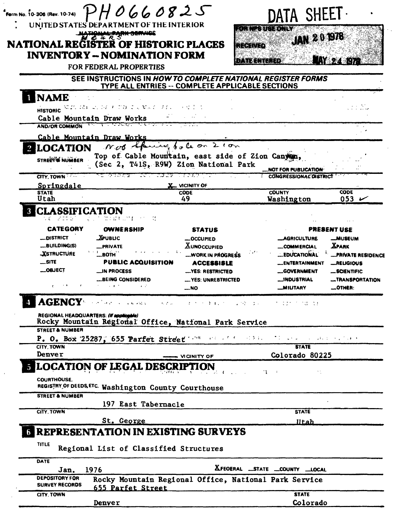|                                                                                       | <b>INVENTORY -- NOMINATION FORM</b><br><b>FOR FEDERAL PROPERTIES</b>                                                           | SEE INSTRUCTIONS IN HOW TO COMPLETE NATIONAL REGISTER FORMS                                                                                     | dan len teredy                                                                                    | <b>MY 24 137</b>                                                                                               |
|---------------------------------------------------------------------------------------|--------------------------------------------------------------------------------------------------------------------------------|-------------------------------------------------------------------------------------------------------------------------------------------------|---------------------------------------------------------------------------------------------------|----------------------------------------------------------------------------------------------------------------|
| <b>NAME</b><br><b>HISTORIC</b>                                                        | 30.27.37.41 - 21.322 リアコ コンダンシングル<br>Cable Mountain Draw Works<br>a de Ca                                                      | TYPE ALL ENTRIES -- COMPLETE APPLICABLE SECTIONS<br>不知 人名                                                                                       |                                                                                                   | 83 M                                                                                                           |
| <b>AND/OR COMMON</b><br><b>LOCATION</b><br>STREET'S NUMBER                            | Cable Mountain Draw Works                                                                                                      | Not there to be on 210m<br>Top of Cable Mountain, east side of Zion Canyon<br>(Sec 2, T41S, R9W) Zion National Park                             | <b>NOT FOR PUBLICATION</b>                                                                        |                                                                                                                |
| CITY. TOWN<br>Springdale                                                              | 773 P.A. - C.A. - C.A. 29 P.A. 2001 - P.A.                                                                                     | <b>X</b> vicinity of                                                                                                                            | <b>CONGRESSIONAL DISTRICT</b>                                                                     |                                                                                                                |
| <b>STATE</b><br>Utah                                                                  |                                                                                                                                | <b>CODE</b><br>49                                                                                                                               | <b>COUNTY</b><br>Washington                                                                       | <b>CODE</b><br>053 $\sim$                                                                                      |
|                                                                                       | <b>CLASSIFICATION</b><br>DIANNUMI ST                                                                                           |                                                                                                                                                 |                                                                                                   |                                                                                                                |
| <b>CATEGORY</b><br>__DISTRICT<br><b>__BUILDING(S)</b><br><b>XSTRUCTURE</b><br>$$ SITE | OWNERSHIP<br><b>XPUBLIC</b><br>_PRIVATE<br>-вотн<br><b>PUBLIC ACQUISITION</b><br>_IN PROCESS                                   | <b>STATUS</b><br><b>_OCCUPIED</b><br><b>XUNOCCUPIED</b><br>"WORK IN PROGRESS<br><b>ACCESSISLE</b><br>-YES: RESTRICTED                           | __AGRICULTURE<br><b>__COMMERCIAL</b><br><b>EDUCATIONAL</b><br><b>_ENTERTAINMENT</b><br>GOVERNMENT | <b>PRESENT USE</b><br><b>__MUSEUM</b><br><b>XPARK</b><br><b>PRIVATE RESIDENCE</b><br>_RELIGIOUS<br>-SCIENTIFIC |
| <b>__OBJECT</b>                                                                       | __BEING CONSIDERED                                                                                                             | YES: UNREBTRICTED<br><b>_NO</b>                                                                                                                 | __INDUSTRIAL<br><b>MILITARY</b>                                                                   | COTHER:                                                                                                        |
| <b>AGENCY</b>                                                                         | the problems of the states.                                                                                                    | $\mathbf{C}_{\mathbf{r}}$ , $\mathbf{C}_{\mathbf{r}}$ , $\mathbf{C}_{\mathbf{r}}$<br>エラック あまいたい しょうぞうぶんし                                        | たいがかい クリカばい かま                                                                                    |                                                                                                                |
| <b>STREET &amp; NUMBER</b><br>CITY, TOWN<br>Denver<br><b>COURTHOUSE.</b>              | REGIONAL HEADQUARTERS: (If applicable)<br>P. O. Box 25287, 655 Parfet Street $1.1\%$<br><b>E LOCATION OF LEGAL DESCRIPTION</b> | Rocky Mountain Regional Office, National Park Service<br>しょうしょ ちげいし バスタコント<br>. VICINITY OF<br><b><i>Charles Committee Committee States</i></b> | TI Sand College Development<br><b>STATE</b><br>Colorado 80225<br>$\mathbf{u}$<br>٠.               |                                                                                                                |
| <b>STREET &amp; NUMBER</b>                                                            | REGISTRY OF DEEDS ETC. Washington County Courthouse                                                                            |                                                                                                                                                 |                                                                                                   |                                                                                                                |
|                                                                                       | 197 East Tabernacle                                                                                                            |                                                                                                                                                 |                                                                                                   |                                                                                                                |
| CITY, TOWN                                                                            | St. George                                                                                                                     |                                                                                                                                                 | <b>STATE</b><br><u>IItah </u>                                                                     |                                                                                                                |
| <b>TITLE</b>                                                                          | <b>REPRESENTATION IN EXISTING SURVEYS</b><br>Regional List of Classified Structures                                            |                                                                                                                                                 |                                                                                                   |                                                                                                                |
| DATE                                                                                  |                                                                                                                                |                                                                                                                                                 |                                                                                                   |                                                                                                                |
| Jan.<br><b>DEPOSITORY FOR</b>                                                         | 1976                                                                                                                           |                                                                                                                                                 | XFEOERAL _STATE _COUNTY _LOCAL                                                                    |                                                                                                                |
| <b>SURVEY RECORDS</b><br>CITY, TOWN                                                   | 655 Parfet Street                                                                                                              | Rocky Mountain Regional Office, National Park Service                                                                                           | <b>STATE</b>                                                                                      | -TRANSPORTATION                                                                                                |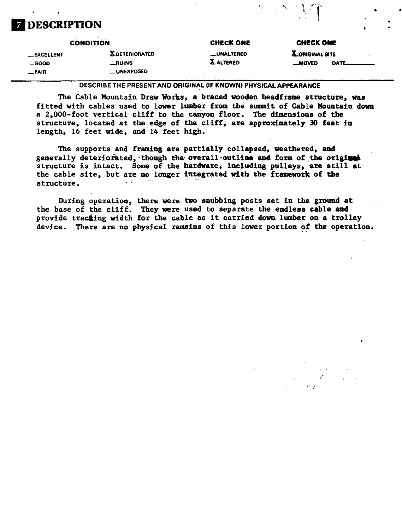## **DESCRIPTION**

#### **CONDITION -EXCELLENT -GOOD -FAIR X.DETERIORATED \_RUINS \_UNEXPOSED CHECK ONE —UNALTERED X-ALTERED CHECK ONE X-ORIGINALSITE —MOVED DATE-**

**DESCRIBE THE PRESENT AND ORIGINAL (IF KNOWN) PHYSICAL APPEARANCE**

The Cable Mountain Draw Works, a braced wooden headframe structure, was fitted with cables used to lower lumber from the summit of Cable Mountain down a 2,000-foot vertical cliff to the canyon floor. The dimensions of the structure, located at the edge of the cliff, are approximately 30 feet in length, 16 feet wide, and 14 feet high.

The supports and framing are partially collapsed, weathered, and generally deteriorated, though the overall outline and form of the original structure is intact. Some of the hardware, including pulleys, are still at the cable site, but are no longer integrated with the framework of the structure.

During operation, there were two snubbing posts set in the ground at the base of the cliff. They were used to separate the endless cable and provide tracting width for the cable as it carried down lumber on a trolley device. There are no physical remains of this lower portion of the operation.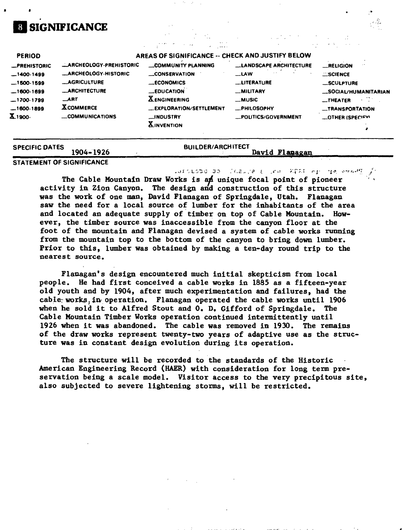# **SIGNIFICANCE**

| <b>SPECIFIC DATES</b>                  |                                                               | <b>BUILDER/ARCHITECT</b>                                                               |                                                               |                                                                  |  |  |
|----------------------------------------|---------------------------------------------------------------|----------------------------------------------------------------------------------------|---------------------------------------------------------------|------------------------------------------------------------------|--|--|
| $-1700.1799$<br>$-1600.1899$<br>X1900- | ART<br><b>XCOMMERCE</b><br>COMMUNICATIONS                     | <b>XENGINEERING</b><br>__EXPLORATION/SETTLEMENT<br><b>NDUSTRY</b><br><b>XINVENTION</b> | $\equiv$ MUSIC<br><b>__PHILOSOPHY</b><br>-POLITICS/GOVERNMENT | $-$ THEATER<br><b>SALE</b><br>_TRANSPORTATION<br>OTHER (SPECIEM) |  |  |
| $-1500-1599$<br>$-1600-1699$           | <b>_AGRICULTURE</b><br><b>_ARCHITECTURE</b>                   | <b>_ECONOMICS</b><br><b>_EDUCATION</b>                                                 | <b>LITERATURE</b><br>MILITARY                                 | _SCULPTURE<br>SOCIAL/HUMANITARIAN                                |  |  |
| -PREHISTORIC<br>$-1400.1499$           | <b>LARCHEOLOGY-PREHISTORIC</b><br><b>LARCHEOLOGY-HISTORIC</b> | COMMUNITY PLANNING<br>__CONSERVATION                                                   | LLANDSCAPE ARCHITECTURE<br>$-LAW$                             | -RELIGION<br>SCIENCE                                             |  |  |
| <b>PERIOD</b>                          | AREAS OF SIGNIFICANCE -- CHECK AND JUSTIFY BELOW              |                                                                                        |                                                               |                                                                  |  |  |

### **STATEMENT OF SIGNIFICANCE**

**.'l". £...'£> I. .»•>! t'.^t.-. rf »j**

The Cable Mountain Draw Works is an unique focal point of pioneer activity in Zion Canyon. The design and construction of this structure was the work of one man, David Flanagan of Springdale, Utah. Flanagan saw the need for a local source of lumber for the inhabitants of the area and located an adequate supply of timber on top of Cable Mountain. However, the timber source was inaccessible from the canyon floor at the foot of the mountain and Flanagan devised a system of cable works running from the mountain top to the bottom of the canyon to bring down lumber. Prior to this, lumber was obtained by making a ten-day round trip to the nearest source.

Flanagan' s design encountered much initial skepticism from local people. He had first conceived a cable works in 1885 as a fifteen-year old youth and by 1904, after much experimentation and failures, had the cable: works, in- operation. Flanagan operated the cable works until 1906 when he sold it to Alfred Stout and 0. D. Gifford of Springdale. The Cable Mountain Timber Works operation continued intermittently until 1926 when it was abandoned. The cable was removed in 1930. The remains of the draw works represent twenty-two years of adaptive use as the structure was in constant design evolution during its operation.

The structure will be recorded to the standards of the Historic American Engineering Record (HAER) with consideration for long term preservation being a scale model. Visitor access to the very precipitous site, also subjected to severe lightening storms, will be restricted.